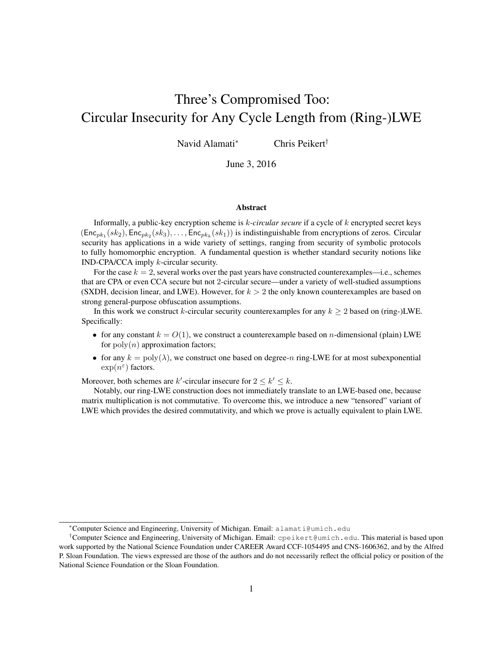# Three's Compromised Too: Circular Insecurity for Any Cycle Length from (Ring-)LWE

Navid Alamati<sup>∗</sup> Chris Peikert†

June 3, 2016

#### Abstract

Informally, a public-key encryption scheme is k*-circular secure* if a cycle of k encrypted secret keys  $(\textsf{Enc}_{pk_1}(sk_2), \textsf{Enc}_{pk_2}(sk_3), \ldots, \textsf{Enc}_{pk_k}(sk_1))$  is indistinguishable from encryptions of zeros. Circular security has applications in a wide variety of settings, ranging from security of symbolic protocols to fully homomorphic encryption. A fundamental question is whether standard security notions like IND-CPA/CCA imply k-circular security.

For the case  $k = 2$ , several works over the past years have constructed counterexamples—i.e., schemes that are CPA or even CCA secure but not 2-circular secure—under a variety of well-studied assumptions (SXDH, decision linear, and LWE). However, for  $k > 2$  the only known counterexamples are based on strong general-purpose obfuscation assumptions.

In this work we construct k-circular security counterexamples for any  $k \geq 2$  based on (ring-)LWE. Specifically:

- for any constant  $k = O(1)$ , we construct a counterexample based on *n*-dimensional (plain) LWE for  $poly(n)$  approximation factors;
- for any  $k = \text{poly}(\lambda)$ , we construct one based on degree-n ring-LWE for at most subexponential  $\exp(n^{\varepsilon})$  factors.

Moreover, both schemes are k'-circular insecure for  $2 \leq k' \leq k$ .

Notably, our ring-LWE construction does not immediately translate to an LWE-based one, because matrix multiplication is not commutative. To overcome this, we introduce a new "tensored" variant of LWE which provides the desired commutativity, and which we prove is actually equivalent to plain LWE.

<sup>∗</sup>Computer Science and Engineering, University of Michigan. Email: alamati@umich.edu

<sup>†</sup>Computer Science and Engineering, University of Michigan. Email: cpeikert@umich.edu. This material is based upon work supported by the National Science Foundation under CAREER Award CCF-1054495 and CNS-1606362, and by the Alfred P. Sloan Foundation. The views expressed are those of the authors and do not necessarily reflect the official policy or position of the National Science Foundation or the Sloan Foundation.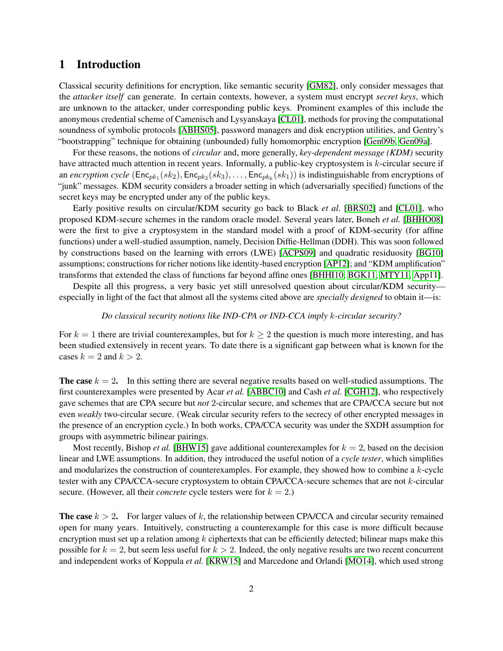# 1 Introduction

Classical security definitions for encryption, like semantic security [\[GM82\]](#page-18-0), only consider messages that the *attacker itself* can generate. In certain contexts, however, a system must encrypt *secret keys*, which are unknown to the attacker, under corresponding public keys. Prominent examples of this include the anonymous credential scheme of Camenisch and Lysyanskaya [\[CL01\]](#page-18-1), methods for proving the computational soundness of symbolic protocols [\[ABHS05\]](#page-17-0), password managers and disk encryption utilities, and Gentry's "bootstrapping" technique for obtaining (unbounded) fully homomorphic encryption [\[Gen09b,](#page-18-2) [Gen09a\]](#page-18-3).

For these reasons, the notions of *circular* and, more generally, *key-dependent message (KDM)* security have attracted much attention in recent years. Informally, a public-key cryptosystem is k-circular secure if an *encryption cycle* ( $Enc_{pk_1}(sk_2)$ ,  $Enc_{pk_2}(sk_3)$ , . . . ,  $Enc_{pk_k}(sk_1)$ ) is indistinguishable from encryptions of "junk" messages. KDM security considers a broader setting in which (adversarially specified) functions of the secret keys may be encrypted under any of the public keys.

Early positive results on circular/KDM security go back to Black *et al.* [\[BRS02\]](#page-18-4) and [\[CL01\]](#page-18-1), who proposed KDM-secure schemes in the random oracle model. Several years later, Boneh *et al.* [\[BHHO08\]](#page-17-1) were the first to give a cryptosystem in the standard model with a proof of KDM-security (for affine functions) under a well-studied assumption, namely, Decision Diffie-Hellman (DDH). This was soon followed by constructions based on the learning with errors (LWE) [\[ACPS09\]](#page-17-2) and quadratic residuosity [\[BG10\]](#page-17-3) assumptions; constructions for richer notions like identity-based encryption [\[AP12\]](#page-17-4); and "KDM amplification" transforms that extended the class of functions far beyond affine ones [\[BHHI10,](#page-17-5) [BGK11,](#page-17-6) [MTY11,](#page-18-5) [App11\]](#page-17-7).

Despite all this progress, a very basic yet still unresolved question about circular/KDM security especially in light of the fact that almost all the systems cited above are *specially designed* to obtain it—is:

#### *Do classical security notions like IND-CPA or IND-CCA imply* k*-circular security?*

For  $k = 1$  there are trivial counterexamples, but for  $k \ge 2$  the question is much more interesting, and has been studied extensively in recent years. To date there is a significant gap between what is known for the cases  $k = 2$  and  $k > 2$ .

**The case**  $k = 2$ . In this setting there are several negative results based on well-studied assumptions. The first counterexamples were presented by Acar *et al.* [\[ABBC10\]](#page-17-8) and Cash *et al.* [\[CGH12\]](#page-18-6), who respectively gave schemes that are CPA secure but *not* 2-circular secure, and schemes that are CPA/CCA secure but not even *weakly* two-circular secure. (Weak circular security refers to the secrecy of other encrypted messages in the presence of an encryption cycle.) In both works, CPA/CCA security was under the SXDH assumption for groups with asymmetric bilinear pairings.

Most recently, Bishop *et al.* [\[BHW15\]](#page-18-7) gave additional counterexamples for  $k = 2$ , based on the decision linear and LWE assumptions. In addition, they introduced the useful notion of a *cycle tester*, which simplifies and modularizes the construction of counterexamples. For example, they showed how to combine a k-cycle tester with any CPA/CCA-secure cryptosystem to obtain CPA/CCA-secure schemes that are not k-circular secure. (However, all their *concrete* cycle testers were for  $k = 2$ .)

**The case**  $k > 2$ . For larger values of k, the relationship between CPA/CCA and circular security remained open for many years. Intuitively, constructing a counterexample for this case is more difficult because encryption must set up a relation among  $k$  ciphertexts that can be efficiently detected; bilinear maps make this possible for  $k = 2$ , but seem less useful for  $k > 2$ . Indeed, the only negative results are two recent concurrent and independent works of Koppula *et al.* [\[KRW15\]](#page-18-8) and Marcedone and Orlandi [\[MO14\]](#page-18-9), which used strong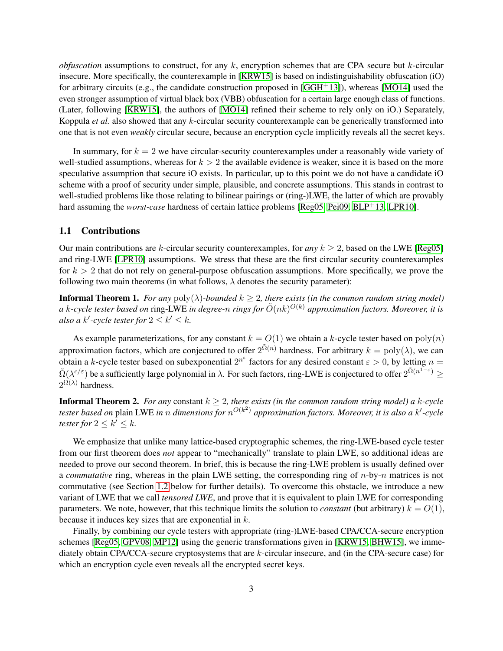*obfuscation* assumptions to construct, for any k, encryption schemes that are CPA secure but k-circular insecure. More specifically, the counterexample in [\[KRW15\]](#page-18-8) is based on indistinguishability obfuscation (iO) for arbitrary circuits (e.g., the candidate construction proposed in  $[GGH<sup>+</sup>13]$  $[GGH<sup>+</sup>13]$ ), whereas  $[MO14]$  used the even stronger assumption of virtual black box (VBB) obfuscation for a certain large enough class of functions. (Later, following [\[KRW15\]](#page-18-8), the authors of [\[MO14\]](#page-18-9) refined their scheme to rely only on iO.) Separately, Koppula *et al.* also showed that any k-circular security counterexample can be generically transformed into one that is not even *weakly* circular secure, because an encryption cycle implicitly reveals all the secret keys.

In summary, for  $k = 2$  we have circular-security counterexamples under a reasonably wide variety of well-studied assumptions, whereas for  $k > 2$  the available evidence is weaker, since it is based on the more speculative assumption that secure iO exists. In particular, up to this point we do not have a candidate iO scheme with a proof of security under simple, plausible, and concrete assumptions. This stands in contrast to well-studied problems like those relating to bilinear pairings or (ring-)LWE, the latter of which are provably hard assuming the *worst-case* hardness of certain lattice problems [\[Reg05,](#page-19-0) [Pei09,](#page-18-11) [BLP](#page-18-12)<sup>+</sup>13, [LPR10\]](#page-18-13).

# 1.1 Contributions

Our main contributions are k-circular security counterexamples, for *any*  $k \ge 2$ , based on the LWE [\[Reg05\]](#page-19-0) and ring-LWE [\[LPR10\]](#page-18-13) assumptions. We stress that these are the first circular security counterexamples for  $k > 2$  that do not rely on general-purpose obfuscation assumptions. More specifically, we prove the following two main theorems (in what follows,  $\lambda$  denotes the security parameter):

**Informal Theorem 1.** *For any*  $poly(\lambda)$ *-bounded*  $k \geq 2$ *, there exists (in the common random string model)* a k-cycle tester based on ring-LWE in degree- $n$  rings for  $\tilde{O}(nk)^{O(k)}$  approximation factors. Moreover, it is also a  $k'$ -cycle tester for  $2 \leq k' \leq k$ .

As example parameterizations, for any constant  $k = O(1)$  we obtain a k-cycle tester based on  $poly(n)$ approximation factors, which are conjectured to offer  $2^{\tilde{\Omega}(n)}$  hardness. For arbitrary  $k = \text{poly}(\lambda)$ , we can obtain a k-cycle tester based on subexponential  $2^{n^{\epsilon}}$  factors for any desired constant  $\epsilon > 0$ , by letting  $n =$  $\tilde{\Omega}(\lambda^{c/\varepsilon})$  be a sufficiently large polynomial in  $\lambda$ . For such factors, ring-LWE is conjectured to offer  $2^{\tilde{\Omega}(n^{1-\varepsilon})} \geq$  $2^{\Omega(\lambda)}$  hardness.

**Informal Theorem 2.** For any constant  $k \geq 2$ , there exists (in the common random string model) a k-cycle tester based on plain LWE in n dimensions for  $n^{O(k^2)}$  approximation factors. Moreover, it is also a k'-cycle *tester for*  $2 \leq k' \leq k$ .

We emphasize that unlike many lattice-based cryptographic schemes, the ring-LWE-based cycle tester from our first theorem does *not* appear to "mechanically" translate to plain LWE, so additional ideas are needed to prove our second theorem. In brief, this is because the ring-LWE problem is usually defined over a *commutative* ring, whereas in the plain LWE setting, the corresponding ring of n-by-n matrices is not commutative (see Section [1.2](#page-3-0) below for further details). To overcome this obstacle, we introduce a new variant of LWE that we call *tensored LWE*, and prove that it is equivalent to plain LWE for corresponding parameters. We note, however, that this technique limits the solution to *constant* (but arbitrary)  $k = O(1)$ , because it induces key sizes that are exponential in  $k$ .

Finally, by combining our cycle testers with appropriate (ring-)LWE-based CPA/CCA-secure encryption schemes [\[Reg05,](#page-19-0) [GPV08,](#page-18-14) [MP12\]](#page-18-15) using the generic transformations given in [\[KRW15,](#page-18-8) [BHW15\]](#page-18-7), we immediately obtain CPA/CCA-secure cryptosystems that are  $k$ -circular insecure, and (in the CPA-secure case) for which an encryption cycle even reveals all the encrypted secret keys.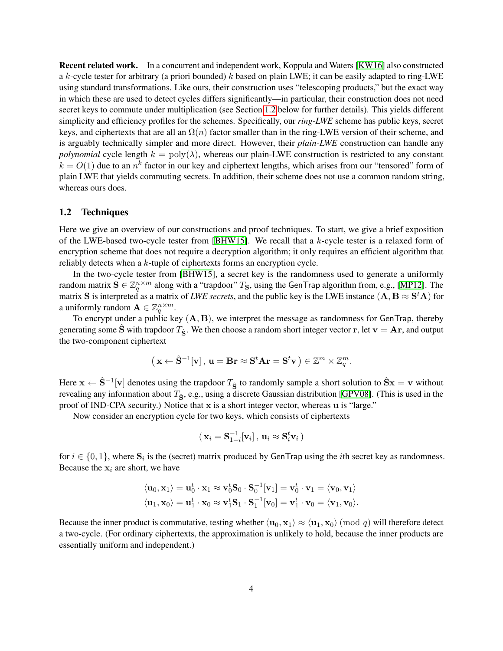Recent related work. In a concurrent and independent work, Koppula and Waters [\[KW16\]](#page-18-16) also constructed a k-cycle tester for arbitrary (a priori bounded) k based on plain LWE; it can be easily adapted to ring-LWE using standard transformations. Like ours, their construction uses "telescoping products," but the exact way in which these are used to detect cycles differs significantly—in particular, their construction does not need secret keys to commute under multiplication (see Section [1.2](#page-3-0) below for further details). This yields different simplicity and efficiency profiles for the schemes. Specifically, our *ring-LWE* scheme has public keys, secret keys, and ciphertexts that are all an  $\Omega(n)$  factor smaller than in the ring-LWE version of their scheme, and is arguably technically simpler and more direct. However, their *plain-LWE* construction can handle any *polynomial* cycle length  $k = \text{poly}(\lambda)$ , whereas our plain-LWE construction is restricted to any constant  $k = O(1)$  due to an  $n^k$  factor in our key and ciphertext lengths, which arises from our "tensored" form of plain LWE that yields commuting secrets. In addition, their scheme does not use a common random string, whereas ours does.

#### <span id="page-3-0"></span>1.2 Techniques

Here we give an overview of our constructions and proof techniques. To start, we give a brief exposition of the LWE-based two-cycle tester from [\[BHW15\]](#page-18-7). We recall that a  $k$ -cycle tester is a relaxed form of encryption scheme that does not require a decryption algorithm; it only requires an efficient algorithm that reliably detects when a k-tuple of ciphertexts forms an encryption cycle.

In the two-cycle tester from [\[BHW15\]](#page-18-7), a secret key is the randomness used to generate a uniformly random matrix  $S \in \mathbb{Z}_q^{n \times m}$  along with a "trapdoor"  $T_S$ , using the GenTrap algorithm from, e.g., [\[MP12\]](#page-18-15). The matrix S is interpreted as a matrix of *LWE secrets*, and the public key is the LWE instance  $(A, B \approx S^t A)$  for a uniformly random  $\mathbf{A} \in \mathbb{Z}_q^{n \times m}$ .

To encrypt under a public key  $(A, B)$ , we interpret the message as randomness for GenTrap, thereby generating some S with trapdoor  $T_{\hat{S}}$ . We then choose a random short integer vector r, let  $v = Ar$ , and output the two-component ciphertext

$$
\left(\, {\bf x} \leftarrow \hat{\bf S}^{-1}[{\bf v}] \, , \, {\bf u} = {\bf B}{\bf r} \approx {\bf S}^t{\bf A}{\bf r} = {\bf S}^t{\bf v} \,\right) \in \mathbb{Z}^m \times \mathbb{Z}_q^m.
$$

Here  $x \leftarrow \hat{S}^{-1}[v]$  denotes using the trapdoor  $T_{\hat{S}}$  to randomly sample a short solution to  $\hat{S}x = v$  without revealing any information about  $T_{\hat{S}}$ , e.g., using a discrete Gaussian distribution [\[GPV08\]](#page-18-14). (This is used in the proof of IND-CPA security.) Notice that x is a short integer vector, whereas u is "large."

Now consider an encryption cycle for two keys, which consists of ciphertexts

$$
(\mathbf{x}_i = \mathbf{S}_{1-i}^{-1}[\mathbf{v}_i], \mathbf{u}_i \approx \mathbf{S}_i^t \mathbf{v}_i)
$$

for  $i \in \{0, 1\}$ , where  $S_i$  is the (secret) matrix produced by GenTrap using the *i*th secret key as randomness. Because the  $x_i$  are short, we have

$$
\langle \mathbf{u}_0, \mathbf{x}_1 \rangle = \mathbf{u}_0^t \cdot \mathbf{x}_1 \approx \mathbf{v}_0^t \mathbf{S}_0 \cdot \mathbf{S}_0^{-1}[\mathbf{v}_1] = \mathbf{v}_0^t \cdot \mathbf{v}_1 = \langle \mathbf{v}_0, \mathbf{v}_1 \rangle \langle \mathbf{u}_1, \mathbf{x}_0 \rangle = \mathbf{u}_1^t \cdot \mathbf{x}_0 \approx \mathbf{v}_1^t \mathbf{S}_1 \cdot \mathbf{S}_1^{-1}[\mathbf{v}_0] = \mathbf{v}_1^t \cdot \mathbf{v}_0 = \langle \mathbf{v}_1, \mathbf{v}_0 \rangle.
$$

Because the inner product is commutative, testing whether  $\langle \mathbf{u}_0, \mathbf{x}_1 \rangle \approx \langle \mathbf{u}_1, \mathbf{x}_0 \rangle$  (mod q) will therefore detect a two-cycle. (For ordinary ciphertexts, the approximation is unlikely to hold, because the inner products are essentially uniform and independent.)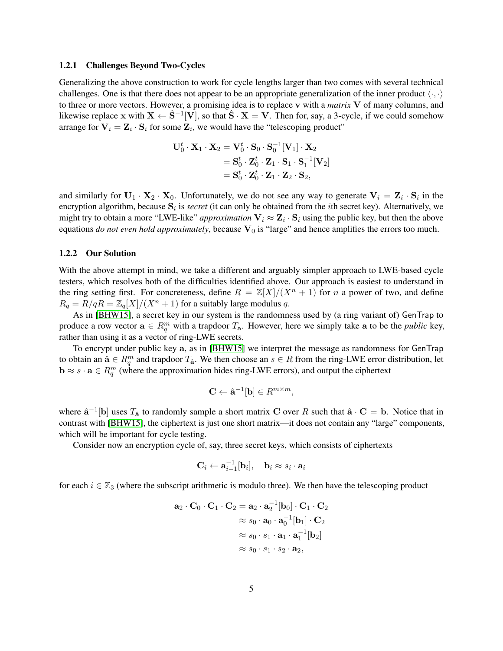#### 1.2.1 Challenges Beyond Two-Cycles

Generalizing the above construction to work for cycle lengths larger than two comes with several technical challenges. One is that there does not appear to be an appropriate generalization of the inner product  $\langle \cdot, \cdot \rangle$ to three or more vectors. However, a promising idea is to replace v with a *matrix* V of many columns, and likewise replace x with  $X \leftarrow \hat{S}^{-1}[V]$ , so that  $\hat{S} \cdot X = V$ . Then for, say, a 3-cycle, if we could somehow arrange for  $V_i = Z_i \cdot S_i$  for some  $Z_i$ , we would have the "telescoping product"

$$
\begin{aligned} \mathbf{U}_0^t \cdot \mathbf{X}_1 \cdot \mathbf{X}_2 &= \mathbf{V}_0^t \cdot \mathbf{S}_0 \cdot \mathbf{S}_0^{-1}[\mathbf{V}_1] \cdot \mathbf{X}_2 \\ &= \mathbf{S}_0^t \cdot \mathbf{Z}_0^t \cdot \mathbf{Z}_1 \cdot \mathbf{S}_1 \cdot \mathbf{S}_1^{-1}[\mathbf{V}_2] \\ &= \mathbf{S}_0^t \cdot \mathbf{Z}_0^t \cdot \mathbf{Z}_1 \cdot \mathbf{Z}_2 \cdot \mathbf{S}_2, \end{aligned}
$$

and similarly for  $U_1 \cdot X_2 \cdot X_0$ . Unfortunately, we do not see any way to generate  $V_i = Z_i \cdot S_i$  in the encryption algorithm, because  $S_i$  is *secret* (it can only be obtained from the *i*th secret key). Alternatively, we might try to obtain a more "LWE-like" *approximation*  $V_i \approx Z_i \cdot S_i$  using the public key, but then the above equations *do not even hold approximately*, because  $V_0$  is "large" and hence amplifies the errors too much.

#### 1.2.2 Our Solution

With the above attempt in mind, we take a different and arguably simpler approach to LWE-based cycle testers, which resolves both of the difficulties identified above. Our approach is easiest to understand in the ring setting first. For concreteness, define  $R = \mathbb{Z}[X]/(X^n + 1)$  for n a power of two, and define  $R_q = R/qR = \mathbb{Z}_q[X]/(X^n + 1)$  for a suitably large modulus q.

As in [\[BHW15\]](#page-18-7), a secret key in our system is the randomness used by (a ring variant of) GenTrap to produce a row vector  $\mathbf{a} \in R_q^m$  with a trapdoor  $T_{\mathbf{a}}$ . However, here we simply take a to be the *public* key, rather than using it as a vector of ring-LWE secrets.

To encrypt under public key a, as in [\[BHW15\]](#page-18-7) we interpret the message as randomness for GenTrap to obtain an  $\hat{\bf a} \in R_q^m$  and trapdoor  $T_{\hat{\bf a}}$ . We then choose an  $s \in R$  from the ring-LWE error distribution, let  $\mathbf{b} \approx s \cdot \mathbf{a} \in R_q^m$  (where the approximation hides ring-LWE errors), and output the ciphertext

$$
\mathbf{C} \leftarrow \hat{\mathbf{a}}^{-1}[\mathbf{b}] \in R^{m \times m},
$$

where  $\hat{a}^{-1}[b]$  uses  $T_{\hat{a}}$  to randomly sample a short matrix C over R such that  $\hat{a} \cdot C = b$ . Notice that in contrast with [\[BHW15\]](#page-18-7), the ciphertext is just one short matrix—it does not contain any "large" components, which will be important for cycle testing.

Consider now an encryption cycle of, say, three secret keys, which consists of ciphertexts

$$
\mathbf{C}_i \leftarrow \mathbf{a}_{i-1}^{-1}[\mathbf{b}_i], \quad \mathbf{b}_i \approx s_i \cdot \mathbf{a}_i
$$

for each  $i \in \mathbb{Z}_3$  (where the subscript arithmetic is modulo three). We then have the telescoping product

$$
\mathbf{a}_2 \cdot \mathbf{C}_0 \cdot \mathbf{C}_1 \cdot \mathbf{C}_2 = \mathbf{a}_2 \cdot \mathbf{a}_2^{-1} [\mathbf{b}_0] \cdot \mathbf{C}_1 \cdot \mathbf{C}_2
$$
  
\n
$$
\approx s_0 \cdot \mathbf{a}_0 \cdot \mathbf{a}_0^{-1} [\mathbf{b}_1] \cdot \mathbf{C}_2
$$
  
\n
$$
\approx s_0 \cdot s_1 \cdot \mathbf{a}_1 \cdot \mathbf{a}_1^{-1} [\mathbf{b}_2]
$$
  
\n
$$
\approx s_0 \cdot s_1 \cdot s_2 \cdot \mathbf{a}_2,
$$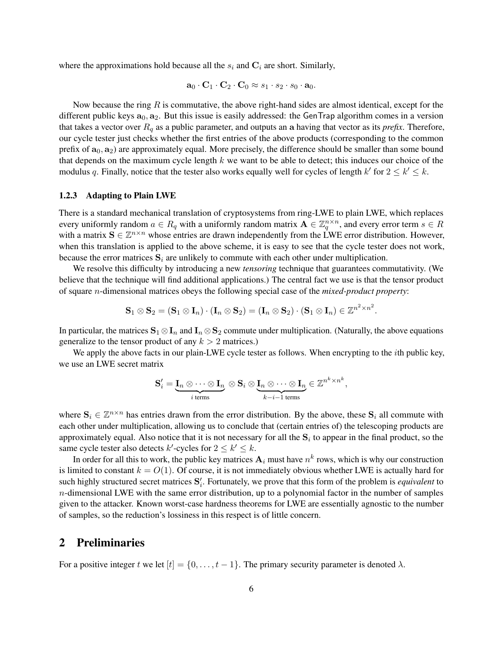where the approximations hold because all the  $s_i$  and  $C_i$  are short. Similarly,

$$
\mathbf{a}_0 \cdot \mathbf{C}_1 \cdot \mathbf{C}_2 \cdot \mathbf{C}_0 \approx s_1 \cdot s_2 \cdot s_0 \cdot \mathbf{a}_0.
$$

Now because the ring  $R$  is commutative, the above right-hand sides are almost identical, except for the different public keys  $a_0$ ,  $a_2$ . But this issue is easily addressed: the GenTrap algorithm comes in a version that takes a vector over  $R_q$  as a public parameter, and outputs an a having that vector as its *prefix*. Therefore, our cycle tester just checks whether the first entries of the above products (corresponding to the common prefix of  $a_0, a_2$  are approximately equal. More precisely, the difference should be smaller than some bound that depends on the maximum cycle length  $k$  we want to be able to detect; this induces our choice of the modulus q. Finally, notice that the tester also works equally well for cycles of length  $k'$  for  $2 \leq k' \leq k$ .

#### 1.2.3 Adapting to Plain LWE

There is a standard mechanical translation of cryptosystems from ring-LWE to plain LWE, which replaces every uniformly random  $a \in R_q$  with a uniformly random matrix  $\mathbf{A} \in \mathbb{Z}_q^{n \times n}$ , and every error term  $s \in R$ with a matrix  $S \in \mathbb{Z}^{n \times n}$  whose entries are drawn independently from the LWE error distribution. However, when this translation is applied to the above scheme, it is easy to see that the cycle tester does not work, because the error matrices  $S_i$  are unlikely to commute with each other under multiplication.

We resolve this difficulty by introducing a new *tensoring* technique that guarantees commutativity. (We believe that the technique will find additional applications.) The central fact we use is that the tensor product of square n-dimensional matrices obeys the following special case of the *mixed-product property*:

$$
\mathbf{S}_1 \otimes \mathbf{S}_2 = (\mathbf{S}_1 \otimes \mathbf{I}_n) \cdot (\mathbf{I}_n \otimes \mathbf{S}_2) = (\mathbf{I}_n \otimes \mathbf{S}_2) \cdot (\mathbf{S}_1 \otimes \mathbf{I}_n) \in \mathbb{Z}^{n^2 \times n^2}.
$$

In particular, the matrices  $S_1 \otimes I_n$  and  $I_n \otimes S_2$  commute under multiplication. (Naturally, the above equations generalize to the tensor product of any  $k > 2$  matrices.)

We apply the above facts in our plain-LWE cycle tester as follows. When encrypting to the *i*th public key, we use an LWE secret matrix

$$
\mathbf{S}'_i = \underbrace{\mathbf{I}_n \otimes \cdots \otimes \mathbf{I}_n}_{i \text{ terms}} \otimes \mathbf{S}_i \otimes \underbrace{\mathbf{I}_n \otimes \cdots \otimes \mathbf{I}_n}_{k-i-1 \text{ terms}} \in \mathbb{Z}^{n^k \times n^k},
$$

where  $S_i \in \mathbb{Z}^{n \times n}$  has entries drawn from the error distribution. By the above, these  $S_i$  all commute with each other under multiplication, allowing us to conclude that (certain entries of) the telescoping products are approximately equal. Also notice that it is not necessary for all the  $S_i$  to appear in the final product, so the same cycle tester also detects  $k'$ -cycles for  $2 \leq k' \leq k$ .

In order for all this to work, the public key matrices  ${\bf A}_i$  must have  $n^k$  rows, which is why our construction is limited to constant  $k = O(1)$ . Of course, it is not immediately obvious whether LWE is actually hard for such highly structured secret matrices  $S_i'$ . Fortunately, we prove that this form of the problem is *equivalent* to  $n$ -dimensional LWE with the same error distribution, up to a polynomial factor in the number of samples given to the attacker. Known worst-case hardness theorems for LWE are essentially agnostic to the number of samples, so the reduction's lossiness in this respect is of little concern.

# 2 Preliminaries

For a positive integer t we let  $[t] = \{0, \ldots, t-1\}$ . The primary security parameter is denoted  $\lambda$ .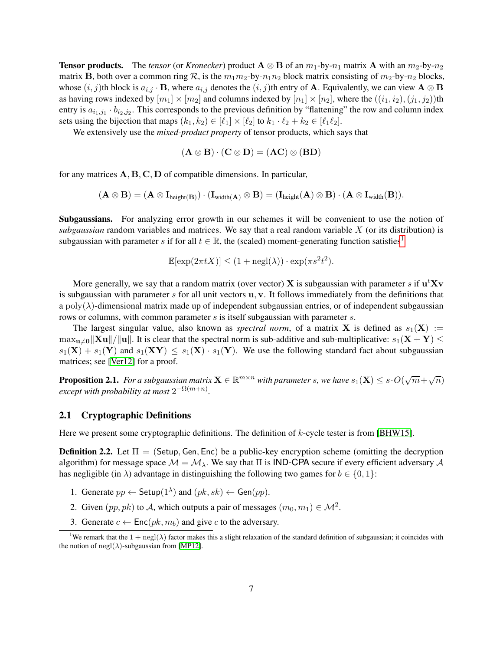**Tensor products.** The *tensor* (or *Kronecker*) product  $A \otimes B$  of an  $m_1$ -by- $n_1$  matrix A with an  $m_2$ -by- $n_2$ matrix B, both over a common ring R, is the  $m_1m_2$ -by- $n_1n_2$  block matrix consisting of  $m_2$ -by- $n_2$  blocks, whose  $(i, j)$ th block is  $a_{i,j} \cdot \mathbf{B}$ , where  $a_{i,j}$  denotes the  $(i, j)$ th entry of **A**. Equivalently, we can view **A**  $\otimes$  **B** as having rows indexed by  $[m_1] \times [m_2]$  and columns indexed by  $[n_1] \times [n_2]$ , where the  $((i_1, i_2), (j_1, j_2))$ th entry is  $a_{i_1,j_1} \cdot b_{i_2,j_2}$ . This corresponds to the previous definition by "flattening" the row and column index sets using the bijection that maps  $(k_1, k_2) \in [\ell_1] \times [\ell_2]$  to  $k_1 \cdot \ell_2 + k_2 \in [\ell_1 \ell_2]$ .

We extensively use the *mixed-product property* of tensor products, which says that

$$
(\mathbf{A}\otimes\mathbf{B})\cdot(\mathbf{C}\otimes\mathbf{D})=(\mathbf{AC})\otimes(\mathbf{BD})
$$

for any matrices A, B, C, D of compatible dimensions. In particular,

$$
(\mathbf{A}\otimes \mathbf{B})=(\mathbf{A}\otimes \mathbf{I}_{height(\mathbf{B})})\cdot (\mathbf{I}_{width(\mathbf{A})}\otimes \mathbf{B})=(\mathbf{I}_{height}(\mathbf{A})\otimes \mathbf{B})\cdot (\mathbf{A}\otimes \mathbf{I}_{width}(\mathbf{B})).
$$

Subgaussians. For analyzing error growth in our schemes it will be convenient to use the notion of *subgaussian* random variables and matrices. We say that a real random variable X (or its distribution) is subgaussian with parameter s if for all  $t \in \mathbb{R}$ , the (scaled) moment-generating function satisfies<sup>[1](#page-6-0)</sup>

$$
\mathbb{E}[\exp(2\pi t X)] \le (1 + \operatorname{negl}(\lambda)) \cdot \exp(\pi s^2 t^2).
$$

More generally, we say that a random matrix (over vector) X is subgaussian with parameter s if  $\mathbf{u}^t\mathbf{X}\mathbf{v}$ is subgaussian with parameter s for all unit vectors  $\bf{u}, \bf{v}$ . It follows immediately from the definitions that a poly( $\lambda$ )-dimensional matrix made up of independent subgaussian entries, or of independent subgaussian rows or columns, with common parameter s is itself subgaussian with parameter s.

The largest singular value, also known as *spectral norm*, of a matrix **X** is defined as  $s_1(\mathbf{X}) :=$  $\max_{\mathbf{u}\neq\mathbf{0}}||\mathbf{X}\mathbf{u}||/||\mathbf{u}||$ . It is clear that the spectral norm is sub-additive and sub-multiplicative:  $s_1(\mathbf{X} + \mathbf{Y}) \leq$  $s_1(X) + s_1(Y)$  and  $s_1(XY) \leq s_1(X) \cdot s_1(Y)$ . We use the following standard fact about subgaussian matrices; see [\[Ver12\]](#page-19-1) for a proof.

<span id="page-6-2"></span>**Proposition 2.1.** For a subgaussian matrix  $\mathbf{X} \in \mathbb{R}^{m \times n}$  with parameter  $s$ , we have  $s_1(\mathbf{X}) \leq s \cdot O(\sqrt{m} + \sqrt{n})$ *except with probability at most*  $2^{-\Omega(m+n)}$ *.* 

## 2.1 Cryptographic Definitions

Here we present some cryptographic definitions. The definition of  $k$ -cycle tester is from [\[BHW15\]](#page-18-7).

**Definition 2.2.** Let  $\Pi = (Setup, Gen, Enc)$  be a public-key encryption scheme (omitting the decryption algorithm) for message space  $\mathcal{M} = \mathcal{M}_{\lambda}$ . We say that  $\Pi$  is **IND-CPA** secure if every efficient adversary  $\mathcal{A}$ has negligible (in  $\lambda$ ) advantage in distinguishing the following two games for  $b \in \{0, 1\}$ :

- 1. Generate  $pp \leftarrow$  Setup $(1^{\lambda})$  and  $(pk, sk) \leftarrow$  Gen $(pp)$ .
- 2. Given  $(pp, pk)$  to A, which outputs a pair of messages  $(m_0, m_1) \in \mathcal{M}^2$ .
- <span id="page-6-0"></span>3. Generate  $c \leftarrow \text{Enc}(pk, m_b)$  and give c to the adversary.

<span id="page-6-1"></span><sup>&</sup>lt;sup>1</sup>We remark that the  $1 + \text{negl}(\lambda)$  factor makes this a slight relaxation of the standard definition of subgaussian; it coincides with the notion of  $negl(\lambda)$ -subgaussian from [\[MP12\]](#page-18-15).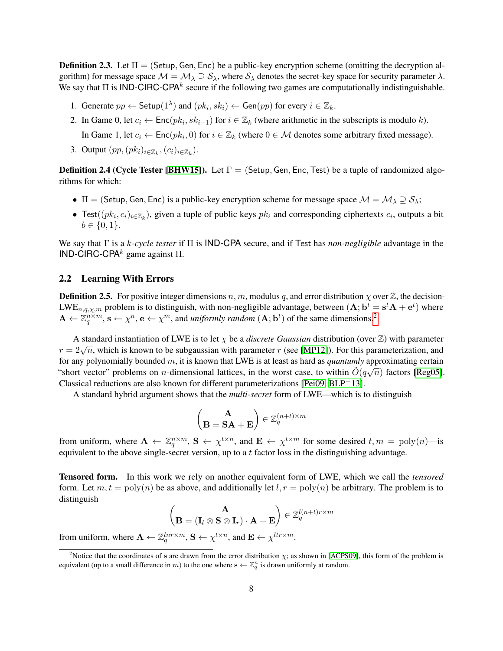**Definition 2.3.** Let  $\Pi = (Setup, Gen, Enc)$  be a public-key encryption scheme (omitting the decryption algorithm) for message space  $\mathcal{M} = \mathcal{M}_{\lambda} \supseteq \mathcal{S}_{\lambda}$ , where  $\mathcal{S}_{\lambda}$  denotes the secret-key space for security parameter  $\lambda$ . We say that  $\Pi$  is IND-CIRC-CPA<sup>k</sup> secure if the following two games are computationally indistinguishable.

- 1. Generate  $pp \leftarrow$  Setup $(1^{\lambda})$  and  $(pk_i, sk_i) \leftarrow$  Gen $(pp)$  for every  $i \in \mathbb{Z}_k$ .
- 2. In Game 0, let  $c_i \leftarrow \text{Enc}(pk_i, sk_{i-1})$  for  $i \in \mathbb{Z}_k$  (where arithmetic in the subscripts is modulo k). In Game 1, let  $c_i \leftarrow \text{Enc}(pk_i, 0)$  for  $i \in \mathbb{Z}_k$  (where  $0 \in \mathcal{M}$  denotes some arbitrary fixed message).
- 3. Output  $(pp, (pk_i)_{i \in \mathbb{Z}_k}, (c_i)_{i \in \mathbb{Z}_k})$ .

**Definition 2.4 (Cycle Tester [\[BHW15\]](#page-18-7)).** Let  $\Gamma$  = (Setup, Gen, Enc, Test) be a tuple of randomized algorithms for which:

- $\Pi$  = (Setup, Gen, Enc) is a public-key encryption scheme for message space  $\mathcal{M} = \mathcal{M}_{\lambda} \supseteq \mathcal{S}_{\lambda}$ ;
- Test $((pk_i, c_i)_{i \in \mathbb{Z}_k})$ , given a tuple of public keys  $pk_i$  and corresponding ciphertexts  $c_i$ , outputs a bit  $b \in \{0, 1\}.$

We say that Γ is a k*-cycle tester* if Π is IND-CPA secure, and if Test has *non-negligible* advantage in the IND-CIRC-CPA<sup>k</sup> game against Π.

## 2.2 Learning With Errors

**Definition 2.5.** For positive integer dimensions  $n, m$ , modulus q, and error distribution  $\chi$  over  $\mathbb{Z}$ , the decision-LWE<sub>n,q, $\chi$ ,m</sub> problem is to distinguish, with non-negligible advantage, between  $(A; b^t = s^t A + e^t)$  where  $\mathbf{A} \leftarrow \mathbb{Z}_q^{n \times m}$ ,  $\mathbf{s} \leftarrow \chi^n$ ,  $\mathbf{e} \leftarrow \chi^m$ , and *uniformly random*  $(\mathbf{A}; \mathbf{b}^t)$  of the same dimensions.<sup>[2](#page-7-0)</sup>

A standard instantiation of LWE is to let  $\chi$  be a *discrete Gaussian* distribution (over  $\mathbb{Z}$ ) with parameter A standard instantiation of EWE is to let  $\chi$  be a discrete Gaussian distribution (over  $\mathbb{Z}$ ) with parameter  $r = 2\sqrt{n}$ , which is known to be subgaussian with parameter  $r$  (see [\[MP12\]](#page-18-15)). For this parameterization, an for any polynomially bounded m, it is known that LWE is at least as hard as *quantumly* approximating certain "short vector" problems on *n*-dimensional lattices, in the worst case, to within  $\tilde{O}(q\sqrt{n})$  factors [\[Reg05\]](#page-19-0). Classical reductions are also known for different parameterizations [\[Pei09,](#page-18-11)  $BLP<sup>+</sup>13$ ].

A standard hybrid argument shows that the *multi-secret* form of LWE—which is to distinguish

$$
\begin{pmatrix}\n\mathbf{A} \\
\mathbf{B} = \mathbf{SA} + \mathbf{E}\n\end{pmatrix} \in \mathbb{Z}_q^{(n+t) \times m}
$$

from uniform, where  $\mathbf{A} \leftarrow \mathbb{Z}_q^{n \times m}$ ,  $\mathbf{S} \leftarrow \chi^{t \times n}$ , and  $\mathbf{E} \leftarrow \chi^{t \times m}$  for some desired  $t, m = \text{poly}(n)$ —is equivalent to the above single-secret version, up to a  $t$  factor loss in the distinguishing advantage.

Tensored form. In this work we rely on another equivalent form of LWE, which we call the *tensored* form. Let  $m, t = \text{poly}(n)$  be as above, and additionally let  $l, r = \text{poly}(n)$  be arbitrary. The problem is to distinguish

$$
\begin{pmatrix} \mathbf{A} \\ \mathbf{B} = (\mathbf{I}_l \otimes \mathbf{S} \otimes \mathbf{I}_r) \cdot \mathbf{A} + \mathbf{E} \end{pmatrix} \in \mathbb{Z}_q^{l(n+t)r \times m}
$$

from uniform, where  $\mathbf{A} \leftarrow \mathbb{Z}_q^{lnr \times m}$ ,  $\mathbf{S} \leftarrow \chi^{t \times n}$ , and  $\mathbf{E} \leftarrow \chi^{ltr \times m}$ .

<span id="page-7-1"></span><span id="page-7-0"></span><sup>&</sup>lt;sup>2</sup>Notice that the coordinates of s are drawn from the error distribution  $\chi$ ; as shown in [\[ACPS09\]](#page-17-2), this form of the problem is equivalent (up to a small difference in m) to the one where  $s \leftarrow \mathbb{Z}_q^n$  is drawn uniformly at random.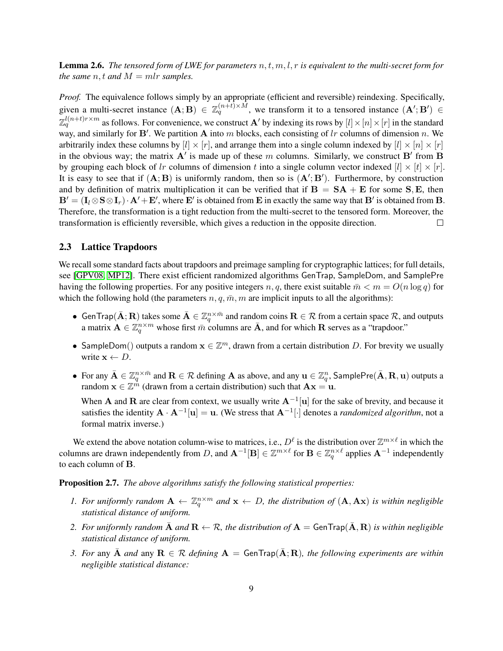Lemma 2.6. *The tensored form of LWE for parameters* n, t, m, l, r *is equivalent to the multi-secret form for the same*  $n$ ,  $t$  *and*  $M = mlr$  *samples.* 

*Proof.* The equivalence follows simply by an appropriate (efficient and reversible) reindexing. Specifically, given a multi-secret instance  $(A; B) \in \mathbb{Z}_q^{(n+t)\times M}$ , we transform it to a tensored instance  $(A'; B') \in$  $\mathbb{Z}_q^{l(n+t)r\times m}$  as follows. For convenience, we construct  $\mathbf{A}'$  by indexing its rows by  $[l]\times[n]\times[r]$  in the standard way, and similarly for  $\mathbf{B}'$ . We partition  $\mathbf{A}$  into m blocks, each consisting of lr columns of dimension n. We arbitrarily index these columns by  $[l] \times [r]$ , and arrange them into a single column indexed by  $[l] \times [n] \times [r]$ in the obvious way; the matrix  $A'$  is made up of these m columns. Similarly, we construct  $B'$  from B by grouping each block of lr columns of dimension t into a single column vector indexed  $[l] \times [t] \times [r]$ . It is easy to see that if  $(A; B)$  is uniformly random, then so is  $(A'; B')$ . Furthermore, by construction and by definition of matrix multiplication it can be verified that if  $B = SA + E$  for some S, E, then  $B' = (I_l \otimes S \otimes I_r) \cdot A' + E'$ , where  $E'$  is obtained from  $E$  in exactly the same way that  $B'$  is obtained from  $B$ . Therefore, the transformation is a tight reduction from the multi-secret to the tensored form. Moreover, the transformation is efficiently reversible, which gives a reduction in the opposite direction.  $\Box$ 

#### 2.3 Lattice Trapdoors

We recall some standard facts about trapdoors and preimage sampling for cryptographic lattices; for full details, see [\[GPV08,](#page-18-14) [MP12\]](#page-18-15). There exist efficient randomized algorithms GenTrap, SampleDom, and SamplePre having the following properties. For any positive integers n, q, there exist suitable  $\bar{m} < m = O(n \log q)$  for which the following hold (the parameters  $n, q, \overline{m}, m$  are implicit inputs to all the algorithms):

- GenTrap $(\bar{\mathbf{A}}; \mathbf{R})$  takes some  $\bar{\mathbf{A}} \in \mathbb{Z}_q^{n \times \bar{m}}$  and random coins  $\mathbf{R} \in \mathcal{R}$  from a certain space  $\mathcal{R}$ , and outputs a matrix  $\mathbf{A} \in \mathbb{Z}_q^{n \times m}$  whose first  $\bar{m}$  columns are  $\bar{A}$ , and for which **R** serves as a "trapdoor."
- SampleDom() outputs a random  $x \in \mathbb{Z}^m$ , drawn from a certain distribution D. For brevity we usually write  $\mathbf{x} \leftarrow D$ .
- For any  $\bar{\mathbf{A}} \in \mathbb{Z}_q^{n \times \bar{m}}$  and  $\mathbf{R} \in \mathcal{R}$  defining  $\mathbf{A}$  as above, and any  $\mathbf{u} \in \mathbb{Z}_q^n$ , SamplePre $(\bar{\mathbf{A}}, \mathbf{R}, \mathbf{u})$  outputs a random  $\mathbf{x} \in \mathbb{Z}^m$  (drawn from a certain distribution) such that  $\mathbf{A}\mathbf{x} = \mathbf{u}$ .

When **A** and **R** are clear from context, we usually write  $A^{-1}[u]$  for the sake of brevity, and because it satisfies the identity  $\mathbf{A} \cdot \mathbf{A}^{-1}[\mathbf{u}] = \mathbf{u}$ . (We stress that  $\mathbf{A}^{-1}[\cdot]$  denotes a *randomized algorithm*, not a formal matrix inverse.)

We extend the above notation column-wise to matrices, i.e.,  $D^{\ell}$  is the distribution over  $\mathbb{Z}^{m\times \ell}$  in which the columns are drawn independently from D, and  $\mathbf{A}^{-1}[\mathbf{B}] \in \mathbb{Z}^{m \times \ell}$  for  $\mathbf{B} \in \mathbb{Z}_q^{n \times \ell}$  applies  $\mathbf{A}^{-1}$  independently to each column of B.

<span id="page-8-0"></span>Proposition 2.7. *The above algorithms satisfy the following statistical properties:*

- <span id="page-8-2"></span>*1. For uniformly random*  $A \leftarrow \mathbb{Z}_q^{n \times m}$  and  $\mathbf{x} \leftarrow D$ , the distribution of  $(A, Ax)$  is within negligible *statistical distance of uniform.*
- <span id="page-8-1"></span>2. For uniformly random  $\bar{A}$  and  $R \leftarrow R$ , the distribution of  $A = \text{Gen} \text{Trap}(\bar{A}, R)$  is within negligible *statistical distance of uniform.*
- *3. For* any  $\overline{A}$  *and* any  $R \in \mathcal{R}$  *defining*  $A = \text{GenTrap}(\overline{A}; R)$ *, the following experiments are within negligible statistical distance:*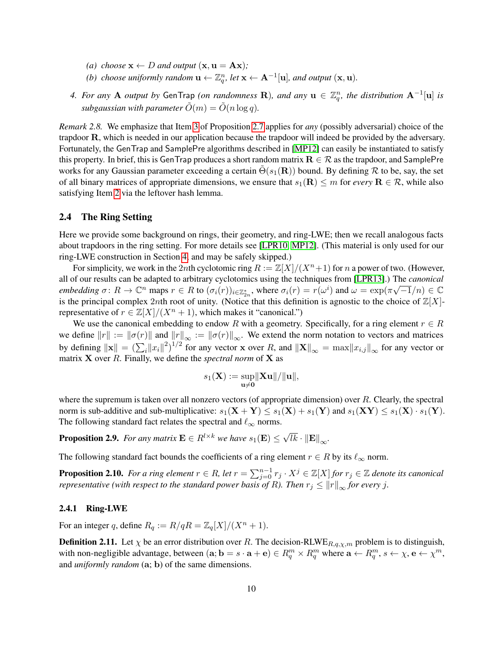- *(a) choose*  $\mathbf{x} \leftarrow D$  *and output*  $(\mathbf{x}, \mathbf{u} = \mathbf{A}\mathbf{x})$ *;*
- *(b) choose uniformly random*  $\mathbf{u} \leftarrow \mathbb{Z}_q^n$ *, let*  $\mathbf{x} \leftarrow \mathbf{A}^{-1}[\mathbf{u}]$ *, and output*  $(\mathbf{x}, \mathbf{u})$ *.*
- <span id="page-9-1"></span><span id="page-9-0"></span>4. For any **A** output by GenTrap (on randomness **R**), and any  $\mathbf{u} \in \mathbb{Z}_q^n$ , the distribution  $\mathbf{A}^{-1}[\mathbf{u}]$  is *subgaussian with parameter*  $\tilde{O}(m) = \tilde{O}(n \log q)$ .

*Remark 2.8.* We emphasize that Item [3](#page-9-0) of Proposition [2.7](#page-8-0) applies for *any* (possibly adversarial) choice of the trapdoor R, which is needed in our application because the trapdoor will indeed be provided by the adversary. Fortunately, the GenTrap and SamplePre algorithms described in [\[MP12\]](#page-18-15) can easily be instantiated to satisfy this property. In brief, this is GenTrap produces a short random matrix  $\mathbf{R} \in \mathcal{R}$  as the trapdoor, and SamplePre works for any Gaussian parameter exceeding a certain  $\Theta(s_1(\mathbf{R}))$  bound. By defining R to be, say, the set of all binary matrices of appropriate dimensions, we ensure that  $s_1(\mathbf{R}) \le m$  for *every*  $\mathbf{R} \in \mathcal{R}$ , while also satisfying Item [2](#page-8-1) via the leftover hash lemma.

#### 2.4 The Ring Setting

Here we provide some background on rings, their geometry, and ring-LWE; then we recall analogous facts about trapdoors in the ring setting. For more details see [\[LPR10,](#page-18-13) [MP12\]](#page-18-15). (This material is only used for our ring-LWE construction in Section [4,](#page-14-0) and may be safely skipped.)

For simplicity, we work in the 2nth cyclotomic ring  $R := \mathbb{Z}[X]/(X^n + 1)$  for n a power of two. (However, all of our results can be adapted to arbitrary cyclotomics using the techniques from [\[LPR13\]](#page-18-17).) The *canonical* √ *embedding*  $\sigma: R \to \mathbb{C}^n$  maps  $r \in R$  to  $(\sigma_i(r))_{i \in \mathbb{Z}_{2n}^*}$ , where  $\sigma_i(r) = r(\omega^i)$  and  $\omega = \exp(\pi \sqrt{-1}/n) \in \mathbb{C}$ is the principal complex 2nth root of unity. (Notice that this definition is agnostic to the choice of  $\mathbb{Z}[X]$ representative of  $r \in \mathbb{Z}[X]/(X^n + 1)$ , which makes it "canonical.")

We use the canonical embedding to endow R with a geometry. Specifically, for a ring element  $r \in R$ we define  $||r|| := ||\sigma(r)||$  and  $||r||_{\infty} := ||\sigma(r)||_{\infty}$ . We extend the norm notation to vectors and matrices by defining  $\|\mathbf{x}\| = (\sum_i \|x_i\|^2)^{1/2}$  for any vector x over R, and  $\|\mathbf{X}\|_{\infty} = \max \|x_{i,j}\|_{\infty}$  for any vector or matrix X over R. Finally, we define the *spectral norm* of X as

$$
s_1(\mathbf{X}) := \sup_{\mathbf{u} \neq \mathbf{0}} \lVert \mathbf{X} \mathbf{u} \rVert / \lVert \mathbf{u} \rVert,
$$

where the supremum is taken over all nonzero vectors (of appropriate dimension) over R. Clearly, the spectral norm is sub-additive and sub-multiplicative:  $s_1(X + Y) \leq s_1(X) + s_1(Y)$  and  $s_1(XY) \leq s_1(X) \cdot s_1(Y)$ . The following standard fact relates the spectral and  $\ell_{\infty}$  norms.

<span id="page-9-2"></span>**Proposition 2.9.** For any matrix  $\mathbf{E} \in R^{l \times k}$  we have  $s_1(\mathbf{E}) \leq \sqrt{\frac{2}{l}}$  $lk \cdot \|\mathbf{E}\|_{\infty}$ .

The following standard fact bounds the coefficients of a ring element  $r \in R$  by its  $\ell_{\infty}$  norm.

<span id="page-9-3"></span>**Proposition 2.10.** For a ring element  $r \in R$ , let  $r = \sum_{j=0}^{n-1} r_j \cdot X^j \in \mathbb{Z}[X]$  for  $r_j \in \mathbb{Z}$  denote its canonical *representative (with respect to the standard power basis of R). Then*  $r_j \le ||r||_{\infty}$  *for every j.* 

#### 2.4.1 Ring-LWE

For an integer q, define  $R_q := R/qR = \mathbb{Z}_q[X]/(X^n + 1)$ .

**Definition 2.11.** Let  $\chi$  be an error distribution over R. The decision-RLWE<sub>R,q, $\chi$ , $m$ </sub> problem is to distinguish, with non-negligible advantage, between  $(a, b = s \cdot a + e) \in R_q^m \times R_q^m$  where  $a \leftarrow R_q^m$ ,  $s \leftarrow \chi$ ,  $e \leftarrow \chi^m$ , and *uniformly random* (a; b) of the same dimensions.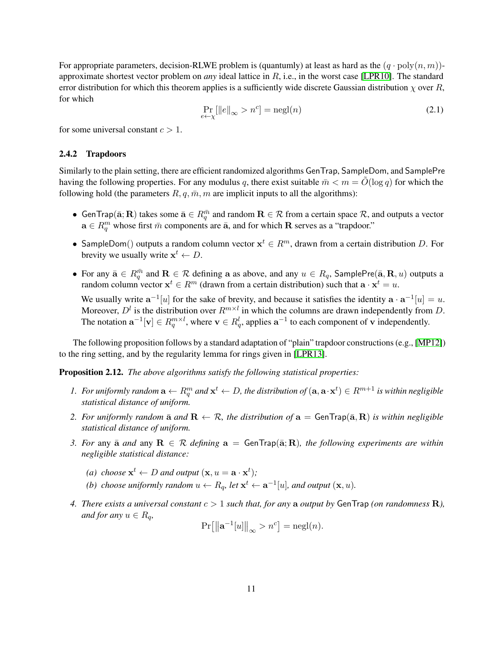For appropriate parameters, decision-RLWE problem is (quantumly) at least as hard as the  $(q \cdot \text{poly}(n, m))$ approximate shortest vector problem on *any* ideal lattice in R, i.e., in the worst case [\[LPR10\]](#page-18-13). The standard error distribution for which this theorem applies is a sufficiently wide discrete Gaussian distribution  $\chi$  over R, for which

<span id="page-10-3"></span>
$$
\Pr_{e \leftarrow \chi} [\|e\|_{\infty} > n^c] = \text{negl}(n) \tag{2.1}
$$

for some universal constant  $c > 1$ .

## 2.4.2 Trapdoors

Similarly to the plain setting, there are efficient randomized algorithms GenTrap, SampleDom, and SamplePre having the following properties. For any modulus q, there exist suitable  $\bar{m} < m = O(\log q)$  for which the following hold (the parameters  $R, q, \overline{m}, m$  are implicit inputs to all the algorithms):

- GenTrap $(\bar{\bf a};{\bf R})$  takes some  $\bar{\bf a}\in R^{\bar{m}}_q$  and random  ${\bf R}\in\cal R$  from a certain space  $\cal R$ , and outputs a vector  $\mathbf{a} \in R_q^m$  whose first  $\bar{m}$  components are  $\bar{\mathbf{a}}$ , and for which **R** serves as a "trapdoor."
- SampleDom() outputs a random column vector  $x^t \in R^m$ , drawn from a certain distribution D. For brevity we usually write  $\mathbf{x}^t \leftarrow D$ .
- For any  $\bar{\mathbf{a}} \in R^{\bar{m}}_q$  and  $\mathbf{R} \in \mathcal{R}$  defining a as above, and any  $u \in R_q$ , SamplePre $(\bar{\mathbf{a}}, \mathbf{R}, u)$  outputs a random column vector  $x^t \in R^m$  (drawn from a certain distribution) such that  $a \cdot x^t = u$ .

We usually write  $a^{-1}[u]$  for the sake of brevity, and because it satisfies the identity  $a \cdot a^{-1}[u] = u$ . Moreover,  $D^{l}$  is the distribution over  $R^{m \times l}$  in which the columns are drawn independently from D. The notation  $\mathbf{a}^{-1}[\mathbf{v}] \in R_q^{m \times l}$ , where  $\mathbf{v} \in R_q^l$ , applies  $\mathbf{a}^{-1}$  to each component of  $\mathbf{v}$  independently.

The following proposition follows by a standard adaptation of "plain" trapdoor constructions (e.g., [\[MP12\]](#page-18-15)) to the ring setting, and by the regularity lemma for rings given in [\[LPR13\]](#page-18-17).

<span id="page-10-1"></span>Proposition 2.12. *The above algorithms satisfy the following statistical properties:*

- <span id="page-10-5"></span>1. For uniformly random  $\mathbf{a} \leftarrow R_q^m$  and  $\mathbf{x}^t \leftarrow D$ , the distribution of  $(\mathbf{a},\mathbf{a}\cdot \mathbf{x}^t)\in R^{m+1}$  is within negligible *statistical distance of uniform.*
- <span id="page-10-0"></span>2. For uniformly random  $\bar{a}$  and  $R \leftarrow R$ , the distribution of  $a = GenTrap(\bar{a}, R)$  is within negligible *statistical distance of uniform.*
- *3. For* any  $\bar{a}$  *and* any  $R \in \mathcal{R}$  *defining*  $a = \text{GenTrap}(\bar{a}; R)$ *, the following experiments are within negligible statistical distance:*
	- (a) *choose*  $\mathbf{x}^t \leftarrow D$  *and output*  $(\mathbf{x}, u = \mathbf{a} \cdot \mathbf{x}^t)$ ;
	- *(b) choose uniformly random*  $u \leftarrow R_q$ *, let*  $\mathbf{x}^t \leftarrow \mathbf{a}^{-1}[u]$ *, and output*  $(\mathbf{x}, u)$ *.*
- <span id="page-10-4"></span><span id="page-10-2"></span>*4. There exists a universal constant*  $c > 1$  *such that, for any* a *output by* GenTrap *(on randomness*  $\mathbb{R}$ *), and for any*  $u \in R_q$ *,*

$$
\Pr\left[\left\|\mathbf{a}^{-1}[u]\right\|_{\infty} > n^c\right] = \operatorname{negl}(n).
$$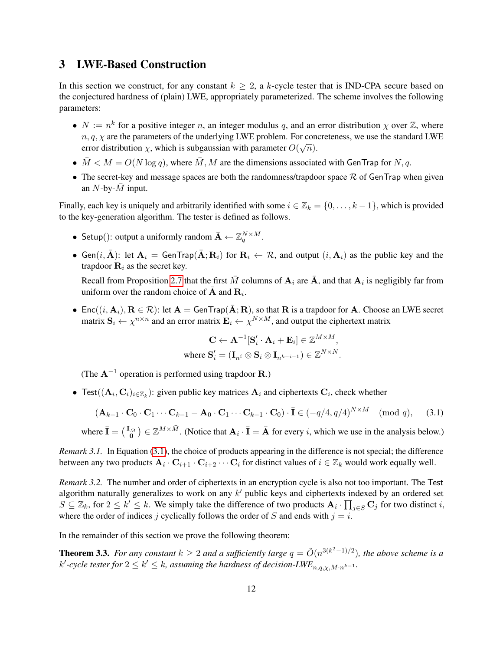# 3 LWE-Based Construction

In this section we construct, for any constant  $k \geq 2$ , a k-cycle tester that is IND-CPA secure based on the conjectured hardness of (plain) LWE, appropriately parameterized. The scheme involves the following parameters:

- $N := n^k$  for a positive integer n, an integer modulus q, and an error distribution  $\chi$  over  $\mathbb{Z}$ , where  $n, q, \chi$  are the parameters of the underlying LWE problem. For concreteness, we use the standard LWE error distribution  $\chi$ , which is subgaussian with parameter  $O(\sqrt{n})$ .
- $\overline{M} < M = O(N \log q)$ , where  $\overline{M}$ , M are the dimensions associated with GenTrap for N, q.
- The secret-key and message spaces are both the randomness/trapdoor space  $R$  of GenTrap when given an N-by- $\overline{M}$  input.

Finally, each key is uniquely and arbitrarily identified with some  $i \in \mathbb{Z}_k = \{0, \ldots, k-1\}$ , which is provided to the key-generation algorithm. The tester is defined as follows.

- Setup(): output a uniformly random  $\bar{\mathbf{A}} \leftarrow \mathbb{Z}_q^{N \times \bar{M}}$ .
- Gen $(i, \bar{A})$ : let  $A_i =$  GenTrap( $\bar{A}$ ;  $R_i$ ) for  $R_i \leftarrow R$ , and output  $(i, A_i)$  as the public key and the trapdoor  $\mathbf{R}_i$  as the secret key.

Recall from Proposition [2.7](#page-8-0) that the first  $\bar{M}$  columns of  $A_i$  are  $\bar{A}$ , and that  $A_i$  is negligibly far from uniform over the random choice of  $\bar{\mathbf{A}}$  and  $\mathbf{R}_i$ .

• Enc $((i, A_i), R \in \mathcal{R})$ : let  $A = \text{GenTrap}(\bar{A}; R)$ , so that R is a trapdoor for A. Choose an LWE secret matrix  $S_i \leftarrow \chi^{n \times n}$  and an error matrix  $\mathbf{E}_i \leftarrow \chi^{N \times M}$ , and output the ciphertext matrix

<span id="page-11-0"></span>
$$
\mathbf{C} \leftarrow \mathbf{A}^{-1}[\mathbf{S}'_i \cdot \mathbf{A}_i + \mathbf{E}_i] \in \mathbb{Z}^{M \times M},
$$
  
where  $\mathbf{S}'_i = (\mathbf{I}_{n^i} \otimes \mathbf{S}_i \otimes \mathbf{I}_{n^{k-i-1}}) \in \mathbb{Z}^{N \times N}.$ 

(The  $A^{-1}$  operation is performed using trapdoor  $R$ .)

• Test $((A_i, C_i)_{i \in \mathbb{Z}_k})$ : given public key matrices  $A_i$  and ciphertexts  $C_i$ , check whether

$$
(\mathbf{A}_{k-1}\cdot\mathbf{C}_0\cdot\mathbf{C}_1\cdots\mathbf{C}_{k-1}-\mathbf{A}_0\cdot\mathbf{C}_1\cdots\mathbf{C}_{k-1}\cdot\mathbf{C}_0)\cdot\bar{\mathbf{I}}\in(-q/4,q/4)^{N\times\bar{M}}\pmod{q},\qquad(3.1)
$$

where  $\bar{\mathbf{I}} = \begin{pmatrix} \mathbf{I}_{\bar{M}} \\ \mathbf{0} \end{pmatrix} \in \mathbb{Z}^{M \times \bar{M}}$ . (Notice that  $\mathbf{A}_i \cdot \bar{\mathbf{I}} = \bar{\mathbf{A}}$  for every *i*, which we use in the analysis below.)

*Remark 3.1.* In Equation [\(3.1\)](#page-11-0), the choice of products appearing in the difference is not special; the difference between any two products  $A_i \cdot C_{i+1} \cdot C_{i+2} \cdots C_i$  for distinct values of  $i \in \mathbb{Z}_k$  would work equally well.

<span id="page-11-2"></span>*Remark 3.2.* The number and order of ciphertexts in an encryption cycle is also not too important. The Test algorithm naturally generalizes to work on any  $k'$  public keys and ciphertexts indexed by an ordered set  $S \subseteq \mathbb{Z}_k$ , for  $2 \leq k' \leq k$ . We simply take the difference of two products  $A_i \cdot \prod_{j \in S} C_j$  for two distinct i, where the order of indices j cyclically follows the order of S and ends with  $j = i$ .

In the remainder of this section we prove the following theorem:

<span id="page-11-1"></span>**Theorem 3.3.** For any constant  $k \geq 2$  and a sufficiently large  $q = \tilde{O}(n^{3(k^2-1)/2})$ , the above scheme is a  $k'$ -cycle tester for  $2 \leq k' \leq k$ , assuming the hardness of decision-LWE<sub>n,q, $\chi$ , $M \cdot n^{k-1}$ .</sub>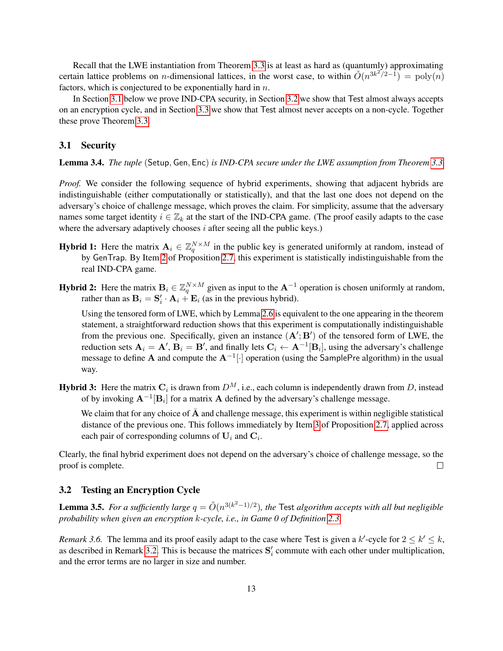Recall that the LWE instantiation from Theorem [3.3](#page-11-1) is at least as hard as (quantumly) approximating certain lattice problems on *n*-dimensional lattices, in the worst case, to within  $\tilde{O}(n^{3k^2/2-1}) = \text{poly}(n)$ factors, which is conjectured to be exponentially hard in  $n$ .

In Section [3.1](#page-12-0) below we prove IND-CPA security, in Section [3.2](#page-12-1) we show that Test almost always accepts on an encryption cycle, and in Section [3.3](#page-14-1) we show that Test almost never accepts on a non-cycle. Together these prove Theorem [3.3.](#page-11-1)

## <span id="page-12-0"></span>3.1 Security

<span id="page-12-2"></span>Lemma 3.4. *The tuple* (Setup, Gen, Enc) *is IND-CPA secure under the LWE assumption from Theorem [3.3.](#page-11-1)*

*Proof.* We consider the following sequence of hybrid experiments, showing that adjacent hybrids are indistinguishable (either computationally or statistically), and that the last one does not depend on the adversary's choice of challenge message, which proves the claim. For simplicity, assume that the adversary names some target identity  $i \in \mathbb{Z}_k$  at the start of the IND-CPA game. (The proof easily adapts to the case where the adversary adaptively chooses  $i$  after seeing all the public keys.)

- **Hybrid 1:** Here the matrix  $A_i \in \mathbb{Z}_q^{N \times M}$  in the public key is generated uniformly at random, instead of by GenTrap. By Item [2](#page-8-1) of Proposition [2.7,](#page-8-0) this experiment is statistically indistinguishable from the real IND-CPA game.
- **Hybrid 2:** Here the matrix  $B_i \in \mathbb{Z}_q^{N \times M}$  given as input to the  $A^{-1}$  operation is chosen uniformly at random, rather than as  $\mathbf{B}_i = \mathbf{S}'_i \cdot \mathbf{A}_i + \mathbf{E}_i$  (as in the previous hybrid).

Using the tensored form of LWE, which by Lemma [2.6](#page-7-1) is equivalent to the one appearing in the theorem statement, a straightforward reduction shows that this experiment is computationally indistinguishable from the previous one. Specifically, given an instance  $(A', B')$  of the tensored form of LWE, the reduction sets  $A_i = A', B_i = B'$ , and finally lets  $C_i \leftarrow A^{-1}[B_i]$ , using the adversary's challenge message to define A and compute the  $A^{-1}[\cdot]$  operation (using the SamplePre algorithm) in the usual way.

**Hybrid 3:** Here the matrix  $\mathbf{C}_i$  is drawn from  $D^M$ , i.e., each column is independently drawn from  $D$ , instead of by invoking  $A^{-1}[B_i]$  for a matrix A defined by the adversary's challenge message.

We claim that for any choice of  $\overline{A}$  and challenge message, this experiment is within negligible statistical distance of the previous one. This follows immediately by Item [3](#page-9-0) of Proposition [2.7,](#page-8-0) applied across each pair of corresponding columns of  $U_i$  and  $C_i$ .

Clearly, the final hybrid experiment does not depend on the adversary's choice of challenge message, so the proof is complete.  $\Box$ 

## <span id="page-12-1"></span>3.2 Testing an Encryption Cycle

Lemma 3.5. For a sufficiently large  $q = \tilde{O}(n^{3(k^2-1)/2})$ , the Test algorithm accepts with all but negligible *probability when given an encryption* k*-cycle, i.e., in Game 0 of Definition [2.3.](#page-6-1)*

*Remark 3.6.* The lemma and its proof easily adapt to the case where Test is given a k'-cycle for  $2 \le k' \le k$ , as described in Remark [3.2.](#page-11-2) This is because the matrices  $S_i$  commute with each other under multiplication, and the error terms are no larger in size and number.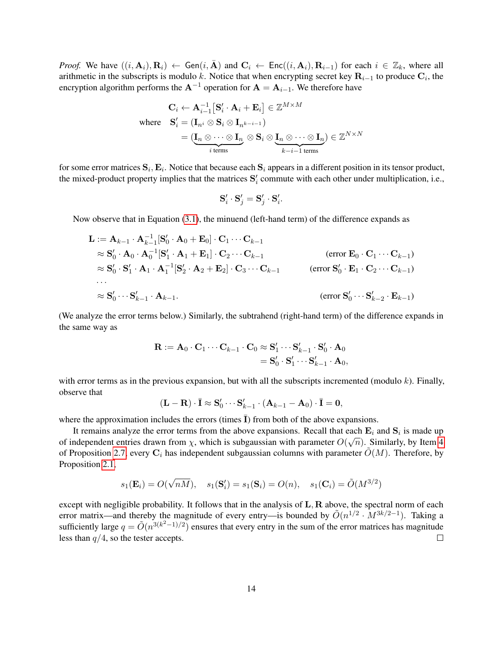*Proof.* We have  $((i, \mathbf{A}_i), \mathbf{R}_i) \leftarrow$  Gen $(i, \bar{\mathbf{A}})$  and  $\mathbf{C}_i \leftarrow \text{Enc}((i, \mathbf{A}_i), \mathbf{R}_{i-1})$  for each  $i \in \mathbb{Z}_k$ , where all arithmetic in the subscripts is modulo k. Notice that when encrypting secret key  $\mathbf{R}_{i-1}$  to produce  $\mathbf{C}_i$ , the encryption algorithm performs the  $A^{-1}$  operation for  $A = A_{i-1}$ . We therefore have

$$
\mathbf{C}_{i} \leftarrow \mathbf{A}_{i-1}^{-1} \left[ \mathbf{S}_{i}' \cdot \mathbf{A}_{i} + \mathbf{E}_{i} \right] \in \mathbb{Z}^{M \times M}
$$
\nwhere\n
$$
\mathbf{S}_{i}' = (\mathbf{I}_{n} \otimes \mathbf{S}_{i} \otimes \mathbf{I}_{n^{k-i-1}})
$$
\n
$$
= (\underbrace{\mathbf{I}_{n} \otimes \cdots \otimes \mathbf{I}_{n}}_{i \text{ terms}} \otimes \mathbf{S}_{i} \otimes \underbrace{\mathbf{I}_{n} \otimes \cdots \otimes \mathbf{I}_{n}}_{k-i-1 \text{ terms}}) \in \mathbb{Z}^{N \times N}
$$

for some error matrices  ${\bf S}_i, {\bf E}_i.$  Notice that because each  ${\bf S}_i$  appears in a different position in its tensor product, the mixed-product property implies that the matrices  $S_i$  commute with each other under multiplication, i.e.,

$$
\mathbf{S}'_i \cdot \mathbf{S}'_j = \mathbf{S}'_j \cdot \mathbf{S}'_i.
$$

Now observe that in Equation [\(3.1\)](#page-11-0), the minuend (left-hand term) of the difference expands as

$$
\mathbf{L} := \mathbf{A}_{k-1} \cdot \mathbf{A}_{k-1}^{-1} [\mathbf{S}'_0 \cdot \mathbf{A}_0 + \mathbf{E}_0] \cdot \mathbf{C}_1 \cdots \mathbf{C}_{k-1}
$$
\n
$$
\approx \mathbf{S}'_0 \cdot \mathbf{A}_0 \cdot \mathbf{A}_0^{-1} [\mathbf{S}'_1 \cdot \mathbf{A}_1 + \mathbf{E}_1] \cdot \mathbf{C}_2 \cdots \mathbf{C}_{k-1}
$$
\n
$$
\approx \mathbf{S}'_0 \cdot \mathbf{S}'_1 \cdot \mathbf{A}_1 \cdot \mathbf{A}_1^{-1} [\mathbf{S}'_2 \cdot \mathbf{A}_2 + \mathbf{E}_2] \cdot \mathbf{C}_3 \cdots \mathbf{C}_{k-1}
$$
\n
$$
\therefore \mathbf{S}'_0 \cdots \mathbf{S}'_{k-1} \cdot \mathbf{A}_{k-1}.
$$
\n
$$
(\text{error } \mathbf{S}'_0 \cdot \mathbf{E}_1 \cdot \mathbf{C}_2 \cdots \mathbf{C}_{k-1})
$$
\n
$$
(\text{error } \mathbf{S}'_0 \cdot \mathbf{E}_1 \cdot \mathbf{C}_2 \cdots \mathbf{C}_{k-1})
$$
\n
$$
(\text{error } \mathbf{S}'_0 \cdots \mathbf{S}'_{k-2} \cdot \mathbf{E}_{k-1})
$$

(We analyze the error terms below.) Similarly, the subtrahend (right-hand term) of the difference expands in the same way as

$$
\mathbf{R} := \mathbf{A}_0 \cdot \mathbf{C}_1 \cdots \mathbf{C}_{k-1} \cdot \mathbf{C}_0 \approx \mathbf{S}'_1 \cdots \mathbf{S}'_{k-1} \cdot \mathbf{S}'_0 \cdot \mathbf{A}_0
$$
  
=  $\mathbf{S}'_0 \cdot \mathbf{S}'_1 \cdots \mathbf{S}'_{k-1} \cdot \mathbf{A}_0$ ,

with error terms as in the previous expansion, but with all the subscripts incremented (modulo  $k$ ). Finally, observe that

$$
(\mathbf{L}-\mathbf{R})\cdot\bar{\mathbf{I}}\approx\mathbf{S}'_0\cdots\mathbf{S}'_{k-1}\cdot(\mathbf{A}_{k-1}-\mathbf{A}_0)\cdot\bar{\mathbf{I}}=\mathbf{0},
$$

where the approximation includes the errors (times  $\bar{I}$ ) from both of the above expansions.

It remains analyze the error terms from the above expansions. Recall that each  $\mathbf{E}_i$  and  $\mathbf{S}_i$  is made up of independent entries drawn from  $\chi$ , which is subgaussian with parameter  $O(\sqrt{n})$ . Similarly, by Item [4](#page-9-1) of Proposition [2.7,](#page-8-0) every  $C_i$  has independent subgaussian columns with parameter  $\tilde{O}(M)$ . Therefore, by Proposition [2.1,](#page-6-2)

$$
s_1(\mathbf{E}_i) = O(\sqrt{nM}), \quad s_1(\mathbf{S}'_i) = s_1(\mathbf{S}_i) = O(n), \quad s_1(\mathbf{C}_i) = \tilde{O}(M^{3/2})
$$

except with negligible probability. It follows that in the analysis of  $L, R$  above, the spectral norm of each error matrix—and thereby the magnitude of every entry—is bounded by  $\tilde{O}(n^{1/2} \cdot M^{3k/2-1})$ . Taking a sufficiently large  $q = \tilde{O}(n^{3(k^2-1)/2})$  ensures that every entry in the sum of the error matrices has magnitude less than  $q/4$ , so the tester accepts.  $\Box$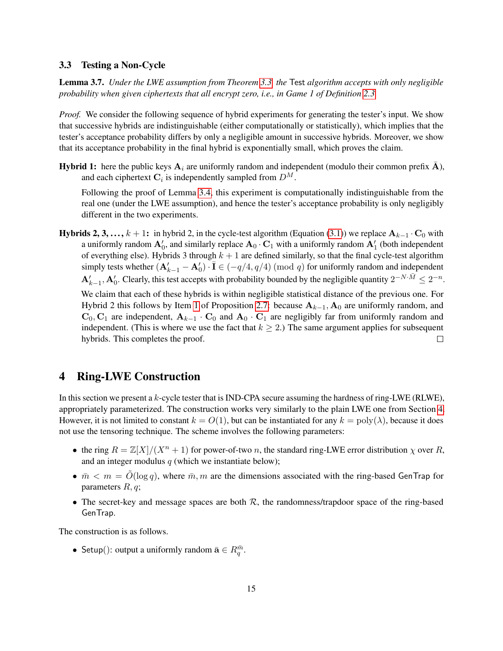## <span id="page-14-1"></span>3.3 Testing a Non-Cycle

Lemma 3.7. *Under the LWE assumption from Theorem [3.3,](#page-11-1) the* Test *algorithm accepts with only negligible probability when given ciphertexts that all encrypt zero, i.e., in Game 1 of Definition [2.3.](#page-6-1)*

*Proof.* We consider the following sequence of hybrid experiments for generating the tester's input. We show that successive hybrids are indistinguishable (either computationally or statistically), which implies that the tester's acceptance probability differs by only a negligible amount in successive hybrids. Moreover, we show that its acceptance probability in the final hybrid is exponentially small, which proves the claim.

**Hybrid 1:** here the public keys  $A_i$  are uniformly random and independent (modulo their common prefix A), and each ciphertext  $\mathbf{C}_i$  is independently sampled from  $D^M$ .

Following the proof of Lemma [3.4,](#page-12-2) this experiment is computationally indistinguishable from the real one (under the LWE assumption), and hence the tester's acceptance probability is only negligibly different in the two experiments.

**Hybrids 2, 3, ...,**  $k + 1$ : in hybrid 2, in the cycle-test algorithm (Equation [\(3.1\)](#page-11-0)) we replace  $\mathbf{A}_{k-1} \cdot \mathbf{C}_0$  with a uniformly random  $A'_0$ , and similarly replace  $A_0 \cdot C_1$  with a uniformly random  $A'_1$  (both independent of everything else). Hybrids 3 through  $k + 1$  are defined similarly, so that the final cycle-test algorithm simply tests whether  $(A'_{k-1} - A'_0) \cdot \bar{I} \in (-q/4, q/4) \pmod{q}$  for uniformly random and independent  $\mathbf{A}'_{k-1}$ ,  $\mathbf{A}'_0$ . Clearly, this test accepts with probability bounded by the negligible quantity  $2^{-N \cdot \bar{M}} \leq 2^{-n}$ .

We claim that each of these hybrids is within negligible statistical distance of the previous one. For Hybrid 2 this follows by Item [1](#page-8-2) of Proposition [2.7:](#page-8-0) because  $A_{k-1}$ ,  $A_0$  are uniformly random, and  $C_0$ ,  $C_1$  are independent,  $A_{k-1} \cdot C_0$  and  $A_0 \cdot C_1$  are negligibly far from uniformly random and independent. (This is where we use the fact that  $k \geq 2$ .) The same argument applies for subsequent hybrids. This completes the proof.  $\Box$ 

# <span id="page-14-0"></span>4 Ring-LWE Construction

In this section we present a  $k$ -cycle tester that is IND-CPA secure assuming the hardness of ring-LWE (RLWE), appropriately parameterized. The construction works very similarly to the plain LWE one from Section [4.](#page-14-0) However, it is not limited to constant  $k = O(1)$ , but can be instantiated for any  $k = \text{poly}(\lambda)$ , because it does not use the tensoring technique. The scheme involves the following parameters:

- the ring  $R = \mathbb{Z}[X]/(X^n + 1)$  for power-of-two n, the standard ring-LWE error distribution  $\chi$  over R, and an integer modulus  $q$  (which we instantiate below);
- $\bar{m} < m = \tilde{O}(\log q)$ , where  $\bar{m}, m$  are the dimensions associated with the ring-based GenTrap for parameters  $R, q$ ;
- The secret-key and message spaces are both  $R$ , the randomness/trapdoor space of the ring-based GenTrap.

The construction is as follows.

• Setup(): output a uniformly random  $\bar{\mathbf{a}} \in R^{\bar{m}}_{q}$ .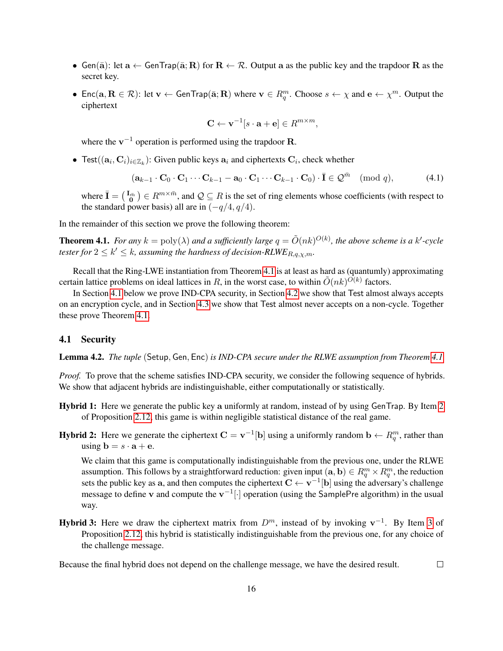- Gen( $\bar{a}$ ): let  $a \leftarrow$  GenTrap( $\bar{a}$ ; R) for  $R \leftarrow \mathcal{R}$ . Output a as the public key and the trapdoor R as the secret key.
- Enc( $a, R \in \mathcal{R}$ ): let  $v \leftarrow$  GenTrap( $\bar{a}; R$ ) where  $v \in R_q^m$ . Choose  $s \leftarrow \chi$  and  $e \leftarrow \chi^m$ . Output the ciphertext

<span id="page-15-2"></span>
$$
\mathbf{C} \leftarrow \mathbf{v}^{-1}[s \cdot \mathbf{a} + \mathbf{e}] \in R^{m \times m},
$$

where the  $v^{-1}$  operation is performed using the trapdoor **R**.

• Test $((a_i, C_i)_{i \in \mathbb{Z}_k})$ : Given public keys  $a_i$  and ciphertexts  $C_i$ , check whether

$$
(\mathbf{a}_{k-1}\cdot\mathbf{C}_0\cdot\mathbf{C}_1\cdots\mathbf{C}_{k-1}-\mathbf{a}_0\cdot\mathbf{C}_1\cdots\mathbf{C}_{k-1}\cdot\mathbf{C}_0)\cdot\overline{\mathbf{I}}\in\mathcal{Q}^{\bar{m}}\pmod{q},\tag{4.1}
$$

where  $\bar{\mathbf{I}} = \begin{pmatrix} \mathbf{I}_{\bar{m}} \\ \mathbf{0} \end{pmatrix} \in R^{m \times \bar{m}}$ , and  $\mathcal{Q} \subseteq R$  is the set of ring elements whose coefficients (with respect to the standard power basis) all are in  $(-q/4, q/4)$ .

In the remainder of this section we prove the following theorem:

<span id="page-15-0"></span>**Theorem 4.1.** For any  $k = \text{poly}(\lambda)$  and a sufficiently large  $q = \tilde{O}(nk)^{O(k)}$ , the above scheme is a k'-cycle *tester for*  $2 \leq k' \leq k$ , assuming the hardness of decision-RLWE<sub>R,q,X,m</sub>.

Recall that the Ring-LWE instantiation from Theorem [4.1](#page-15-0) is at least as hard as (quantumly) approximating certain lattice problems on ideal lattices in R, in the worst case, to within  $\tilde{O}(nk)^{\tilde{O}(k)}$  factors.

In Section [4.1](#page-15-1) below we prove IND-CPA security, in Section [4.2](#page-16-0) we show that Test almost always accepts on an encryption cycle, and in Section [4.3](#page-16-1) we show that Test almost never accepts on a non-cycle. Together these prove Theorem [4.1.](#page-15-0)

#### <span id="page-15-1"></span>4.1 Security

<span id="page-15-3"></span>Lemma 4.2. *The tuple* (Setup, Gen, Enc) *is IND-CPA secure under the RLWE assumption from Theorem [4.1.](#page-15-0)*

*Proof.* To prove that the scheme satisfies IND-CPA security, we consider the following sequence of hybrids. We show that adjacent hybrids are indistinguishable, either computationally or statistically.

- Hybrid 1: Here we generate the public key a uniformly at random, instead of by using GenTrap. By Item [2](#page-10-0) of Proposition [2.12,](#page-10-1) this game is within negligible statistical distance of the real game.
- **Hybrid 2:** Here we generate the ciphertext  $C = v^{-1}[b]$  using a uniformly random  $b \leftarrow R_q^m$ , rather than using  $\mathbf{b} = s \cdot \mathbf{a} + \mathbf{e}$ .

We claim that this game is computationally indistinguishable from the previous one, under the RLWE assumption. This follows by a straightforward reduction: given input  $(a, b) \in R_q^m \times R_q^m$ , the reduction sets the public key as a, and then computes the ciphertext  $C \leftarrow v^{-1}[b]$  using the adversary's challenge message to define v and compute the  $v^{-1}[\cdot]$  operation (using the SamplePre algorithm) in the usual way.

**Hybrid [3](#page-10-2):** Here we draw the ciphertext matrix from  $D^m$ , instead of by invoking  $v^{-1}$ . By Item 3 of Proposition [2.12,](#page-10-1) this hybrid is statistically indistinguishable from the previous one, for any choice of the challenge message.

Because the final hybrid does not depend on the challenge message, we have the desired result.  $\Box$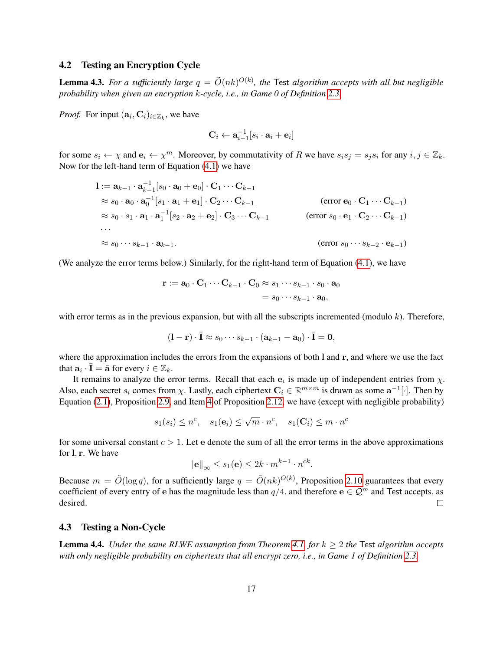# <span id="page-16-0"></span>4.2 Testing an Encryption Cycle

**Lemma 4.3.** For a sufficiently large  $q = \tilde{O}(nk)^{O(k)}$ , the Test algorithm accepts with all but negligible *probability when given an encryption* k*-cycle, i.e., in Game 0 of Definition [2.3.](#page-6-1)*

*Proof.* For input  $(a_i, C_i)_{i \in \mathbb{Z}_k}$ , we have

$$
\mathbf{C}_i \leftarrow \mathbf{a}_{i-1}^{-1} [s_i \cdot \mathbf{a}_i + \mathbf{e}_i]
$$

for some  $s_i \leftarrow \chi$  and  $\mathbf{e}_i \leftarrow \chi^m$ . Moreover, by commutativity of R we have  $s_i s_j = s_j s_i$  for any  $i, j \in \mathbb{Z}_k$ . Now for the left-hand term of Equation [\(4.1\)](#page-15-2) we have

$$
l := \mathbf{a}_{k-1} \cdot \mathbf{a}_{k-1}^{-1} [s_0 \cdot \mathbf{a}_0 + \mathbf{e}_0] \cdot \mathbf{C}_1 \cdots \mathbf{C}_{k-1}
$$
  
\n
$$
\approx s_0 \cdot \mathbf{a}_0 \cdot \mathbf{a}_0^{-1} [s_1 \cdot \mathbf{a}_1 + \mathbf{e}_1] \cdot \mathbf{C}_2 \cdots \mathbf{C}_{k-1}
$$
  
\n
$$
\approx s_0 \cdot s_1 \cdot \mathbf{a}_1 \cdot \mathbf{a}_1^{-1} [s_2 \cdot \mathbf{a}_2 + \mathbf{e}_2] \cdot \mathbf{C}_3 \cdots \mathbf{C}_{k-1}
$$
  
\n
$$
\therefore \text{ (error } s_0 \cdot \mathbf{e}_1 \cdot \mathbf{C}_2 \cdots \mathbf{C}_{k-1})
$$
  
\n
$$
\approx s_0 \cdots s_{k-1} \cdot \mathbf{a}_{k-1}.
$$
  
\n
$$
(\text{error } s_0 \cdot \mathbf{e}_1 \cdot \mathbf{C}_2 \cdots \mathbf{C}_{k-1})
$$
  
\n
$$
(\text{error } s_0 \cdot \cdots s_{k-2} \cdot \mathbf{e}_{k-1})
$$

(We analyze the error terms below.) Similarly, for the right-hand term of Equation [\(4.1\)](#page-15-2), we have

$$
\mathbf{r} := \mathbf{a}_0 \cdot \mathbf{C}_1 \cdots \mathbf{C}_{k-1} \cdot \mathbf{C}_0 \approx s_1 \cdots s_{k-1} \cdot s_0 \cdot \mathbf{a}_0
$$

$$
= s_0 \cdots s_{k-1} \cdot \mathbf{a}_0,
$$

with error terms as in the previous expansion, but with all the subscripts incremented (modulo  $k$ ). Therefore,

$$
(\mathbf{l}-\mathbf{r})\cdot\bar{\mathbf{l}}\approx s_0\cdots s_{k-1}\cdot(\mathbf{a}_{k-1}-\mathbf{a}_0)\cdot\bar{\mathbf{l}}=\mathbf{0},
$$

where the approximation includes the errors from the expansions of both l and r, and where we use the fact that  $\mathbf{a}_i \cdot \bar{\mathbf{I}} = \bar{\mathbf{a}}$  for every  $i \in \mathbb{Z}_k$ .

It remains to analyze the error terms. Recall that each  $e_i$  is made up of independent entries from  $\chi$ . Also, each secret  $s_i$  comes from  $\chi$ . Lastly, each ciphertext  $\mathbf{C}_i \in \mathbb{R}^{m \times m}$  is drawn as some  $\mathbf{a}^{-1}[\cdot]$ . Then by Equation [\(2.1\)](#page-10-3), Proposition [2.9,](#page-9-2) and Item [4](#page-10-4) of Proposition [2.12,](#page-10-1) we have (except with negligible probability)

$$
s_1(s_i) \leq n^c, \quad s_1(\mathbf{e}_i) \leq \sqrt{m} \cdot n^c, \quad s_1(\mathbf{C}_i) \leq m \cdot n^c
$$

for some universal constant  $c > 1$ . Let e denote the sum of all the error terms in the above approximations for l, r. We have

$$
\|\mathbf{e}\|_{\infty} \le s_1(\mathbf{e}) \le 2k \cdot m^{k-1} \cdot n^{ck}.
$$

Because  $m = \tilde{O}(\log q)$ , for a sufficiently large  $q = \tilde{O}(nk)^{O(k)}$ , Proposition [2.10](#page-9-3) guarantees that every coefficient of every entry of e has the magnitude less than  $q/4$ , and therefore  $e \in \mathcal{Q}^m$  and Test accepts, as desired.  $\Box$ 

#### <span id="page-16-1"></span>4.3 Testing a Non-Cycle

**Lemma 4.4.** *Under the same RLWE assumption from Theorem [4.1,](#page-15-0) for*  $k \geq 2$  *the* Test *algorithm accepts with only negligible probability on ciphertexts that all encrypt zero, i.e., in Game 1 of Definition [2.3.](#page-6-1)*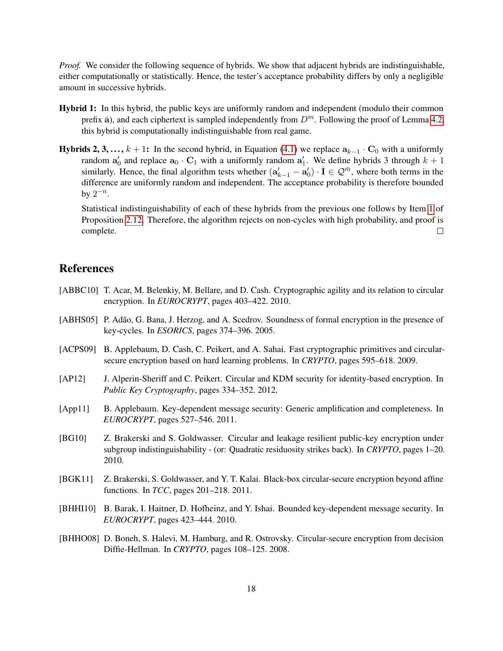*Proof.* We consider the following sequence of hybrids. We show that adjacent hybrids are indistinguishable, either computationally or statistically. Hence, the tester's acceptance probability differs by only a negligible amount in successive hybrids.

- Hybrid 1: In this hybrid, the public keys are uniformly random and independent (modulo their common prefix  $\bar{a}$ ), and each ciphertext is sampled independently from  $D^m$ . Following the proof of Lemma [4.2,](#page-15-3) this hybrid is computationally indistinguishable from real game.
- Hybrids 2, 3, ...,  $k + 1$ : In the second hybrid, in Equation [\(4.1\)](#page-15-2) we replace  $a_{k-1} \cdot C_0$  with a uniformly random  $a'_0$  and replace  $a_0 \cdot C_1$  with a uniformly random  $a'_1$ . We define hybrids 3 through  $k + 1$ similarly. Hence, the final algorithm tests whether  $(a'_{k-1} - a'_0) \cdot \bar{I} \in \mathcal{Q}^{\bar{m}}$ , where both terms in the difference are uniformly random and independent. The acceptance probability is therefore bounded by  $2^{-n}$ .

Statistical indistinguishability of each of these hybrids from the previous one follows by Item [1](#page-10-5) of Proposition [2.12.](#page-10-1) Therefore, the algorithm rejects on non-cycles with high probability, and proof is complete.  $\Box$ 

# References

- <span id="page-17-8"></span>[ABBC10] T. Acar, M. Belenkiy, M. Bellare, and D. Cash. Cryptographic agility and its relation to circular encryption. In *EUROCRYPT*, pages 403–422. 2010.
- <span id="page-17-0"></span>[ABHS05] P. Adão, G. Bana, J. Herzog, and A. Scedrov. Soundness of formal encryption in the presence of key-cycles. In *ESORICS*, pages 374–396. 2005.
- <span id="page-17-2"></span>[ACPS09] B. Applebaum, D. Cash, C. Peikert, and A. Sahai. Fast cryptographic primitives and circularsecure encryption based on hard learning problems. In *CRYPTO*, pages 595–618. 2009.
- <span id="page-17-4"></span>[AP12] J. Alperin-Sheriff and C. Peikert. Circular and KDM security for identity-based encryption. In *Public Key Cryptography*, pages 334–352. 2012.
- <span id="page-17-7"></span>[App11] B. Applebaum. Key-dependent message security: Generic amplification and completeness. In *EUROCRYPT*, pages 527–546. 2011.
- <span id="page-17-3"></span>[BG10] Z. Brakerski and S. Goldwasser. Circular and leakage resilient public-key encryption under subgroup indistinguishability - (or: Quadratic residuosity strikes back). In *CRYPTO*, pages 1–20. 2010.
- <span id="page-17-6"></span>[BGK11] Z. Brakerski, S. Goldwasser, and Y. T. Kalai. Black-box circular-secure encryption beyond affine functions. In *TCC*, pages 201–218. 2011.
- <span id="page-17-5"></span>[BHHI10] B. Barak, I. Haitner, D. Hofheinz, and Y. Ishai. Bounded key-dependent message security. In *EUROCRYPT*, pages 423–444. 2010.
- <span id="page-17-1"></span>[BHHO08] D. Boneh, S. Halevi, M. Hamburg, and R. Ostrovsky. Circular-secure encryption from decision Diffie-Hellman. In *CRYPTO*, pages 108–125. 2008.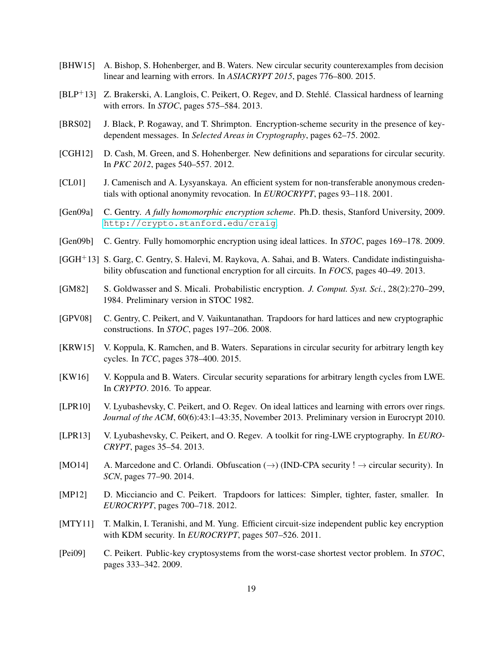- <span id="page-18-7"></span>[BHW15] A. Bishop, S. Hohenberger, and B. Waters. New circular security counterexamples from decision linear and learning with errors. In *ASIACRYPT 2015*, pages 776–800. 2015.
- <span id="page-18-12"></span>[BLP<sup>+</sup>13] Z. Brakerski, A. Langlois, C. Peikert, O. Regev, and D. Stehlé. Classical hardness of learning with errors. In *STOC*, pages 575–584. 2013.
- <span id="page-18-4"></span>[BRS02] J. Black, P. Rogaway, and T. Shrimpton. Encryption-scheme security in the presence of keydependent messages. In *Selected Areas in Cryptography*, pages 62–75. 2002.
- <span id="page-18-6"></span>[CGH12] D. Cash, M. Green, and S. Hohenberger. New definitions and separations for circular security. In *PKC 2012*, pages 540–557. 2012.
- <span id="page-18-1"></span>[CL01] J. Camenisch and A. Lysyanskaya. An efficient system for non-transferable anonymous credentials with optional anonymity revocation. In *EUROCRYPT*, pages 93–118. 2001.
- <span id="page-18-3"></span>[Gen09a] C. Gentry. *A fully homomorphic encryption scheme*. Ph.D. thesis, Stanford University, 2009. <http://crypto.stanford.edu/craig>.
- <span id="page-18-2"></span>[Gen09b] C. Gentry. Fully homomorphic encryption using ideal lattices. In *STOC*, pages 169–178. 2009.
- <span id="page-18-10"></span>[GGH+13] S. Garg, C. Gentry, S. Halevi, M. Raykova, A. Sahai, and B. Waters. Candidate indistinguishability obfuscation and functional encryption for all circuits. In *FOCS*, pages 40–49. 2013.
- <span id="page-18-0"></span>[GM82] S. Goldwasser and S. Micali. Probabilistic encryption. *J. Comput. Syst. Sci.*, 28(2):270–299, 1984. Preliminary version in STOC 1982.
- <span id="page-18-14"></span>[GPV08] C. Gentry, C. Peikert, and V. Vaikuntanathan. Trapdoors for hard lattices and new cryptographic constructions. In *STOC*, pages 197–206. 2008.
- <span id="page-18-8"></span>[KRW15] V. Koppula, K. Ramchen, and B. Waters. Separations in circular security for arbitrary length key cycles. In *TCC*, pages 378–400. 2015.
- <span id="page-18-16"></span>[KW16] V. Koppula and B. Waters. Circular security separations for arbitrary length cycles from LWE. In *CRYPTO*. 2016. To appear.
- <span id="page-18-13"></span>[LPR10] V. Lyubashevsky, C. Peikert, and O. Regev. On ideal lattices and learning with errors over rings. *Journal of the ACM*, 60(6):43:1–43:35, November 2013. Preliminary version in Eurocrypt 2010.
- <span id="page-18-17"></span>[LPR13] V. Lyubashevsky, C. Peikert, and O. Regev. A toolkit for ring-LWE cryptography. In *EURO-CRYPT*, pages 35–54. 2013.
- <span id="page-18-9"></span>[MO14] A. Marcedone and C. Orlandi. Obfuscation  $(\rightarrow)$  (IND-CPA security !  $\rightarrow$  circular security). In *SCN*, pages 77–90. 2014.
- <span id="page-18-15"></span>[MP12] D. Micciancio and C. Peikert. Trapdoors for lattices: Simpler, tighter, faster, smaller. In *EUROCRYPT*, pages 700–718. 2012.
- <span id="page-18-5"></span>[MTY11] T. Malkin, I. Teranishi, and M. Yung. Efficient circuit-size independent public key encryption with KDM security. In *EUROCRYPT*, pages 507–526. 2011.
- <span id="page-18-11"></span>[Pei09] C. Peikert. Public-key cryptosystems from the worst-case shortest vector problem. In *STOC*, pages 333–342. 2009.